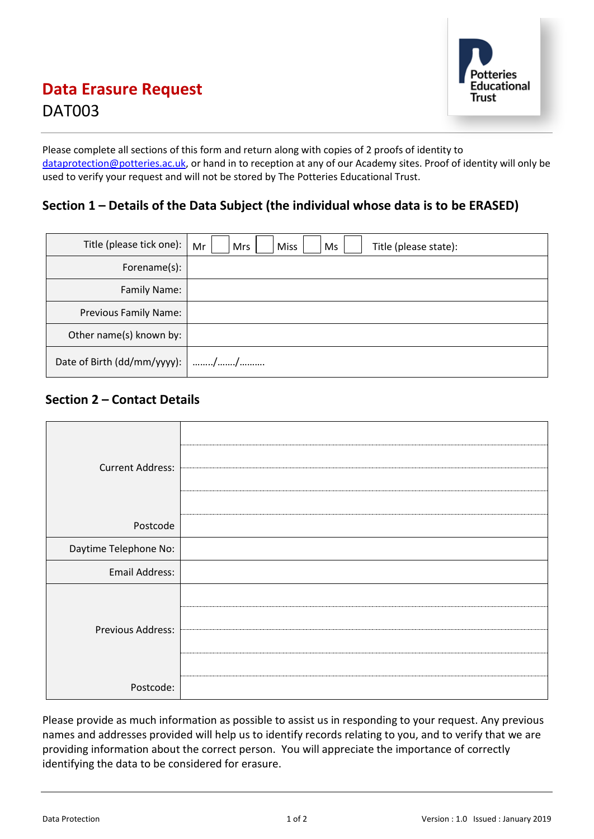

# **Data Erasure Request** DAT003

Please complete all sections of this form and return along with copies of 2 proofs of identity to [dataprotection@potteries.ac.uk,](mailto:dataprotection@potteries.ac.uk) or hand in to reception at any of our Academy sites. Proof of identity will only be used to verify your request and will not be stored by The Potteries Educational Trust.

### **Section 1 – Details of the Data Subject (the individual whose data is to be ERASED)**

| Title (please tick one):         | Mr<br>Mrs<br>Miss<br>Title (please state):<br>Ms |
|----------------------------------|--------------------------------------------------|
| Forename(s):                     |                                                  |
| Family Name:                     |                                                  |
| Previous Family Name:            |                                                  |
| Other name(s) known by:          |                                                  |
| Date of Birth (dd/mm/yyyy):   // |                                                  |

## **Section 2 – Contact Details**

| <b>Current Address:</b> |  |
|-------------------------|--|
| Postcode                |  |
| Daytime Telephone No:   |  |
| Email Address:          |  |
| Previous Address:       |  |
| Postcode:               |  |

Please provide as much information as possible to assist us in responding to your request. Any previous names and addresses provided will help us to identify records relating to you, and to verify that we are providing information about the correct person. You will appreciate the importance of correctly identifying the data to be considered for erasure.